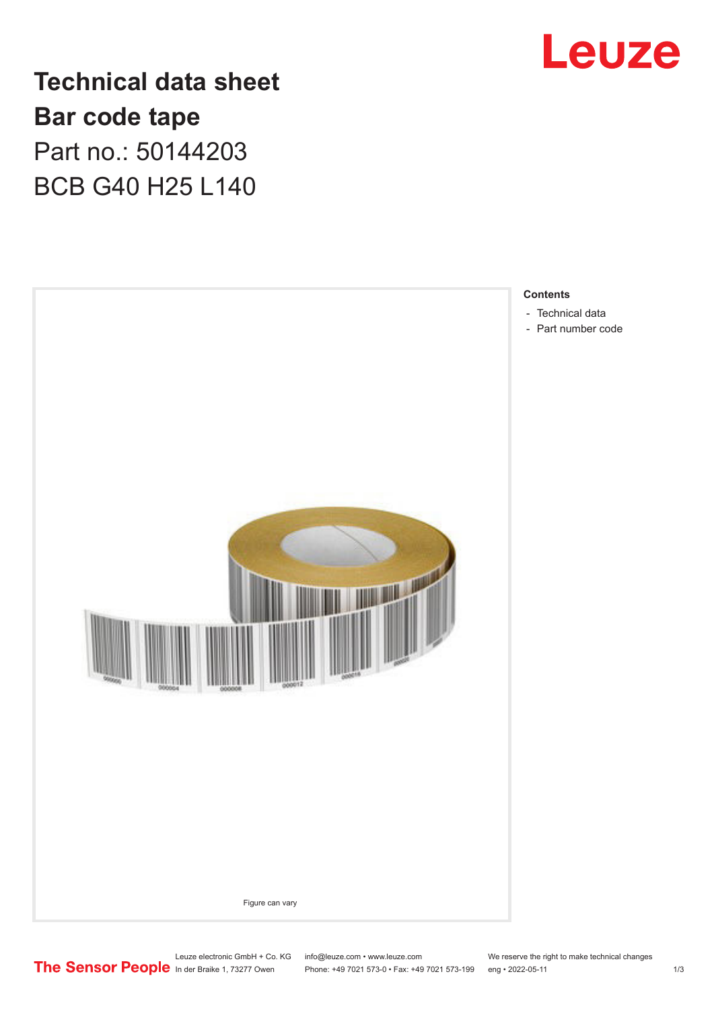

**Technical data sheet Bar code tape** Part no.: 50144203 BCB G40 H25 L140



Leuze electronic GmbH + Co. KG info@leuze.com • www.leuze.com We reserve the right to make technical changes<br>
The Sensor People in der Braike 1, 73277 Owen Phone: +49 7021 573-0 • Fax: +49 7021 573-199 eng • 2022-05-11

Phone: +49 7021 573-0 • Fax: +49 7021 573-199 eng • 2022-05-11 1 2022-05-11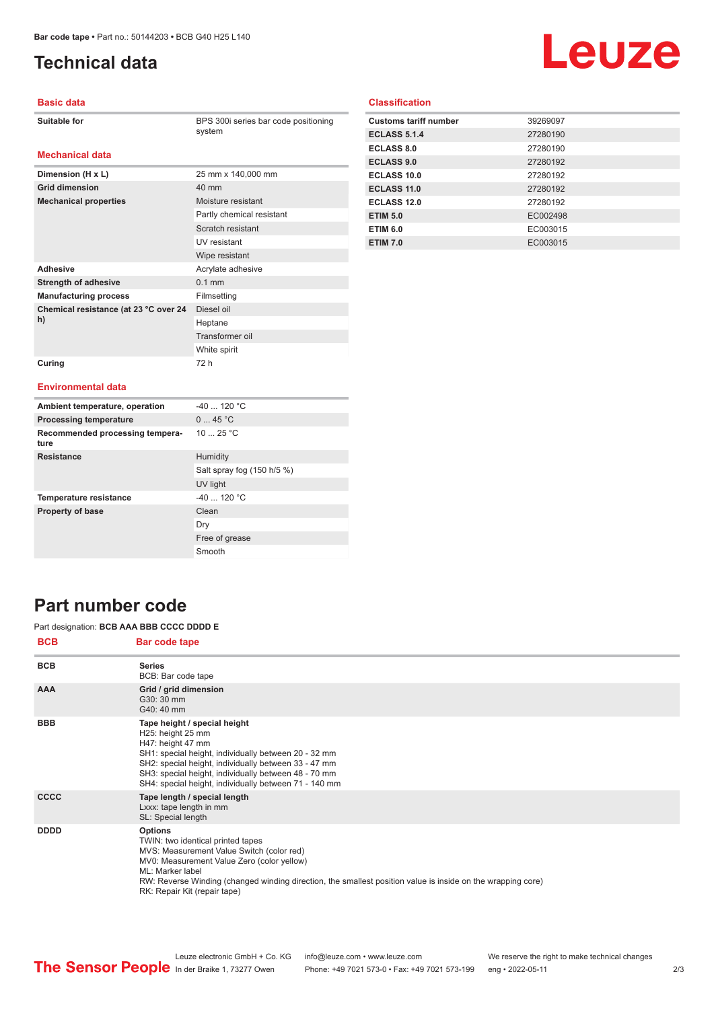**Dimension (H x L)** 25 mm x 140,000 mm

**Mechanical properties** Moisture resistant

Adhesive **Adhesive** Acrylate adhesive **Strength of adhesive** 0.1 mm **Manufacturing process** Filmsetting

**Grid dimension** 40 mm

**Chemical resistance (at 23 °C over 24** 

**Curing** 72 h

# <span id="page-1-0"></span>**Technical data**

# Leuze

#### **Basic data**

**Mechanical data**

**BPS 300i series bar code positioning** system

Partly chemical resistant Scratch resistant UV resistant Wipe resistant

Diesel oil Heptane Transformer oil White spirit

#### **Classification**

| <b>Customs tariff number</b> | 39269097 |
|------------------------------|----------|
| <b>ECLASS 5.1.4</b>          | 27280190 |
| <b>ECLASS 8.0</b>            | 27280190 |
| <b>ECLASS 9.0</b>            | 27280192 |
| ECLASS 10.0                  | 27280192 |
| <b>ECLASS 11.0</b>           | 27280192 |
| <b>ECLASS 12.0</b>           | 27280192 |
| <b>ETIM 5.0</b>              | EC002498 |
| <b>ETIM 6.0</b>              | EC003015 |
| <b>ETIM 7.0</b>              | EC003015 |

#### **Environmental data**

**h)**

| Ambient temperature, operation          | $-40$ 120 °C               |
|-----------------------------------------|----------------------------|
| <b>Processing temperature</b>           | 045 °C                     |
| Recommended processing tempera-<br>ture | 10 $25 °C$                 |
| <b>Resistance</b>                       | Humidity                   |
|                                         | Salt spray fog (150 h/5 %) |
|                                         | UV light                   |
| <b>Temperature resistance</b>           | $-40$ 120 °C               |
| <b>Property of base</b>                 | Clean                      |
|                                         | Dry                        |
|                                         | Free of grease             |
|                                         | Smooth                     |

### **Part number code**

#### Part designation: **BCB AAA BBB CCCC DDDD E**

| <b>BCB</b>  | Bar code tape                                                                                                                                                                                                                                                                                                     |
|-------------|-------------------------------------------------------------------------------------------------------------------------------------------------------------------------------------------------------------------------------------------------------------------------------------------------------------------|
| <b>BCB</b>  | <b>Series</b><br>BCB: Bar code tape                                                                                                                                                                                                                                                                               |
| <b>AAA</b>  | Grid / grid dimension<br>G30: 30 mm<br>G40: 40 mm                                                                                                                                                                                                                                                                 |
| <b>BBB</b>  | Tape height / special height<br>H25: height 25 mm<br>H47: height 47 mm<br>SH1: special height, individually between 20 - 32 mm<br>SH2: special height, individually between 33 - 47 mm<br>SH3: special height, individually between 48 - 70 mm<br>SH4: special height, individually between 71 - 140 mm           |
| <b>CCCC</b> | Tape length / special length<br>Lxxx: tape length in mm<br>SL: Special length                                                                                                                                                                                                                                     |
| <b>DDDD</b> | <b>Options</b><br>TWIN: two identical printed tapes<br>MVS: Measurement Value Switch (color red)<br>MV0: Measurement Value Zero (color yellow)<br>ML: Marker label<br>RW: Reverse Winding (changed winding direction, the smallest position value is inside on the wrapping core)<br>RK: Repair Kit (repair tape) |